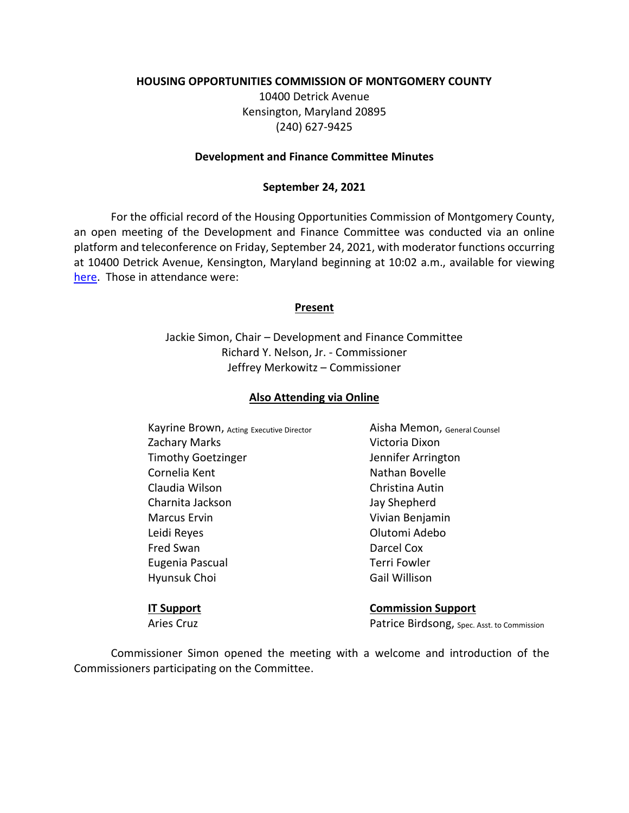### **HOUSING OPPORTUNITIES COMMISSION OF MONTGOMERY COUNTY**

10400 Detrick Avenue Kensington, Maryland 20895 (240) 627-9425

#### **Development and Finance Committee Minutes**

### **September 24, 2021**

For the official record of the Housing Opportunities Commission of Montgomery County, an open meeting of the Development and Finance Committee was conducted via an online platform and teleconference on Friday, September 24, 2021, with moderator functions occurring at 10400 Detrick Avenue, Kensington, Maryland beginning at 10:02 a.m., available for viewing [here.](https://youtu.be/ruTY1kntMrU) Those in attendance were:

### **Present**

Jackie Simon, Chair – Development and Finance Committee Richard Y. Nelson, Jr. - Commissioner Jeffrey Merkowitz – Commissioner

### **Also Attending via Online**

Kayrine Brown, Acting Executive Director **Aisha Memon**, General Counsel Zachary Marks **Victoria Dixon** Timothy Goetzinger Timothy Goetzinger Cornelia Kent Nathan Bovelle Claudia Wilson Christina Autin Charnita Jackson Jay Shepherd Marcus Ervin **Vivian Benjamin** Leidi Reyes Olutomi Adebo Fred Swan Darcel Cox Eugenia Pascual **Terri Fowler** Hyunsuk Choi Gail Willison

**IT Support Commission Support** Aries Cruz **Patrice Birdsong**, Spec. Asst. to Commission

Commissioner Simon opened the meeting with a welcome and introduction of the Commissioners participating on the Committee.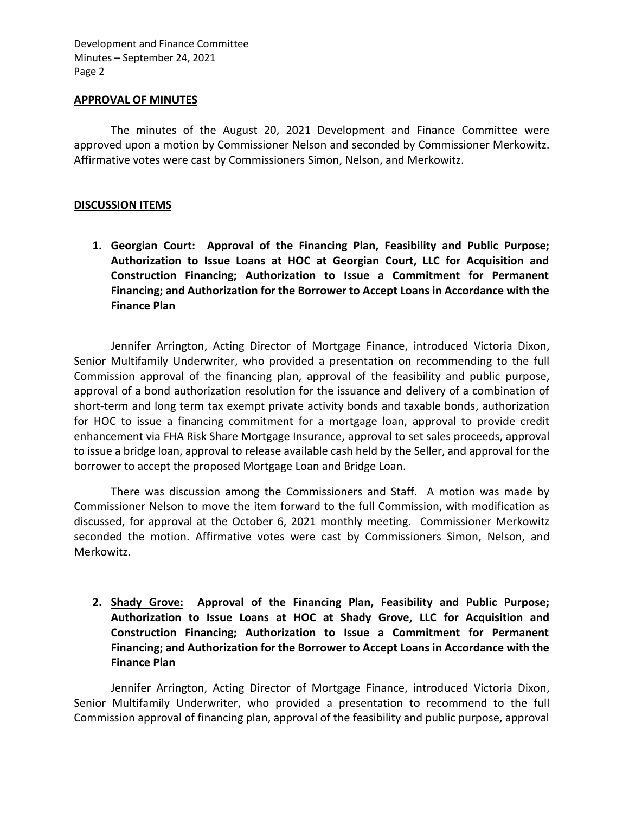Development and Finance Committee Minutes – September 24, 2021 Page 2

#### **APPROVAL OF MINUTES**

The minutes of the August 20, 2021 Development and Finance Committee were approved upon a motion by Commissioner Nelson and seconded by Commissioner Merkowitz. Affirmative votes were cast by Commissioners Simon, Nelson, and Merkowitz.

## **DISCUSSION ITEMS**

**1. Georgian Court: Approval of the Financing Plan, Feasibility and Public Purpose; Authorization to Issue Loans at HOC at Georgian Court, LLC for Acquisition and Construction Financing; Authorization to Issue a Commitment for Permanent Financing; and Authorization for the Borrower to Accept Loans in Accordance with the Finance Plan**

Jennifer Arrington, Acting Director of Mortgage Finance, introduced Victoria Dixon, Senior Multifamily Underwriter, who provided a presentation on recommending to the full Commission approval of the financing plan, approval of the feasibility and public purpose, approval of a bond authorization resolution for the issuance and delivery of a combination of short-term and long term tax exempt private activity bonds and taxable bonds, authorization for HOC to issue a financing commitment for a mortgage loan, approval to provide credit enhancement via FHA Risk Share Mortgage Insurance, approval to set sales proceeds, approval to issue a bridge loan, approval to release available cash held by the Seller, and approval for the borrower to accept the proposed Mortgage Loan and Bridge Loan.

There was discussion among the Commissioners and Staff. A motion was made by Commissioner Nelson to move the item forward to the full Commission, with modification as discussed, for approval at the October 6, 2021 monthly meeting. Commissioner Merkowitz seconded the motion. Affirmative votes were cast by Commissioners Simon, Nelson, and Merkowitz.

**2. Shady Grove: Approval of the Financing Plan, Feasibility and Public Purpose; Authorization to Issue Loans at HOC at Shady Grove, LLC for Acquisition and Construction Financing; Authorization to Issue a Commitment for Permanent Financing; and Authorization for the Borrower to Accept Loans in Accordance with the Finance Plan**

Jennifer Arrington, Acting Director of Mortgage Finance, introduced Victoria Dixon, Senior Multifamily Underwriter, who provided a presentation to recommend to the full Commission approval of financing plan, approval of the feasibility and public purpose, approval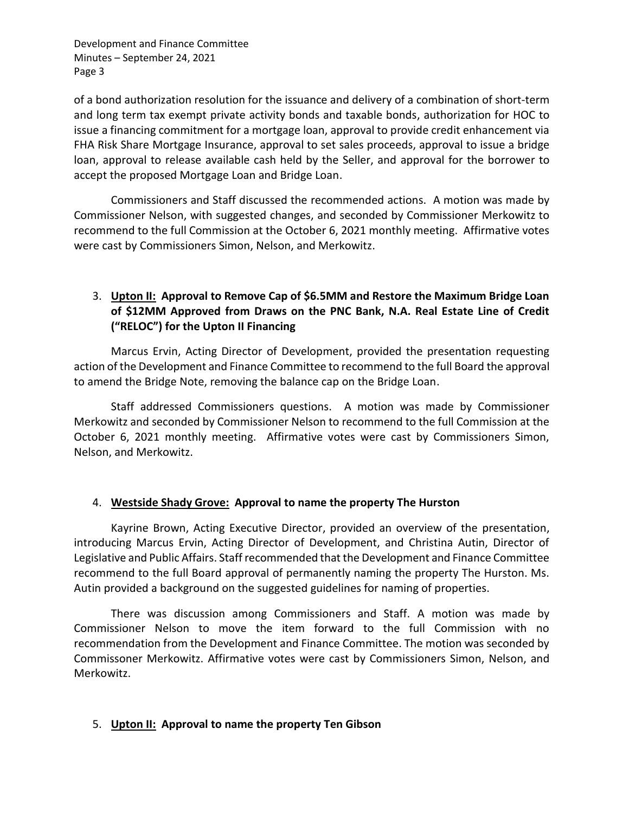Development and Finance Committee Minutes – September 24, 2021 Page 3

of a bond authorization resolution for the issuance and delivery of a combination of short-term and long term tax exempt private activity bonds and taxable bonds, authorization for HOC to issue a financing commitment for a mortgage loan, approval to provide credit enhancement via FHA Risk Share Mortgage Insurance, approval to set sales proceeds, approval to issue a bridge loan, approval to release available cash held by the Seller, and approval for the borrower to accept the proposed Mortgage Loan and Bridge Loan.

Commissioners and Staff discussed the recommended actions. A motion was made by Commissioner Nelson, with suggested changes, and seconded by Commissioner Merkowitz to recommend to the full Commission at the October 6, 2021 monthly meeting. Affirmative votes were cast by Commissioners Simon, Nelson, and Merkowitz.

# 3. **Upton II: Approval to Remove Cap of \$6.5MM and Restore the Maximum Bridge Loan of \$12MM Approved from Draws on the PNC Bank, N.A. Real Estate Line of Credit ("RELOC") for the Upton II Financing**

Marcus Ervin, Acting Director of Development, provided the presentation requesting action of the Development and Finance Committee to recommend to the full Board the approval to amend the Bridge Note, removing the balance cap on the Bridge Loan.

Staff addressed Commissioners questions. A motion was made by Commissioner Merkowitz and seconded by Commissioner Nelson to recommend to the full Commission at the October 6, 2021 monthly meeting. Affirmative votes were cast by Commissioners Simon, Nelson, and Merkowitz.

## 4. **Westside Shady Grove: Approval to name the property The Hurston**

Kayrine Brown, Acting Executive Director, provided an overview of the presentation, introducing Marcus Ervin, Acting Director of Development, and Christina Autin, Director of Legislative and Public Affairs. Staff recommended that the Development and Finance Committee recommend to the full Board approval of permanently naming the property The Hurston. Ms. Autin provided a background on the suggested guidelines for naming of properties.

There was discussion among Commissioners and Staff. A motion was made by Commissioner Nelson to move the item forward to the full Commission with no recommendation from the Development and Finance Committee. The motion was seconded by Commissoner Merkowitz. Affirmative votes were cast by Commissioners Simon, Nelson, and Merkowitz.

## 5. **Upton II: Approval to name the property Ten Gibson**